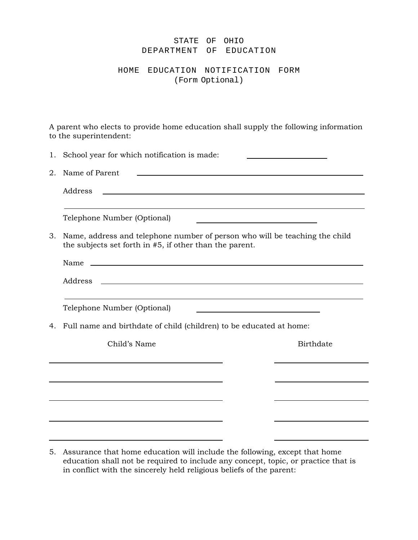## STATE OF OHIO DEPARTMENT OF EDUCATION

HOME EDUCATION NOTIFICATION FORM (Form Optional)

A parent who elects to provide home education shall supply the following information to the superintendent:

| 1. | School year for which notification is made:                                                                                            |  |                  |  |
|----|----------------------------------------------------------------------------------------------------------------------------------------|--|------------------|--|
| 2. | Name of Parent<br><u> 1989 - Johann Stein, mars an deus an deus Amerikaansk kommunister (</u>                                          |  |                  |  |
|    | Address<br><u> 1989 - Johann Harry Communication (b. 1989)</u>                                                                         |  |                  |  |
|    | Telephone Number (Optional)                                                                                                            |  |                  |  |
| 3. | Name, address and telephone number of person who will be teaching the child<br>the subjects set forth in #5, if other than the parent. |  |                  |  |
|    | Name<br><u> 1989 - Johann Harry Harry Harry Harry Harry Harry Harry Harry Harry Harry Harry Harry Harry Harry Harry Harry</u>          |  |                  |  |
|    | <u> 1989 - Johann Stoff, deutscher Stoffen und der Stoffen und der Stoffen und der Stoffen und der Stoffen und der</u><br>Address      |  |                  |  |
|    | Telephone Number (Optional)<br>the control of the control of the control of the control of the control of                              |  |                  |  |
| 4. | Full name and birthdate of child (children) to be educated at home:                                                                    |  |                  |  |
|    | Child's Name                                                                                                                           |  | <b>Birthdate</b> |  |
|    |                                                                                                                                        |  |                  |  |
|    |                                                                                                                                        |  |                  |  |
|    |                                                                                                                                        |  |                  |  |
|    |                                                                                                                                        |  |                  |  |
|    |                                                                                                                                        |  |                  |  |

<sup>5.</sup> Assurance that home education will include the following, except that home education shall not be required to include any concept, topic, or practice that is in conflict with the sincerely held religious beliefs of the parent: